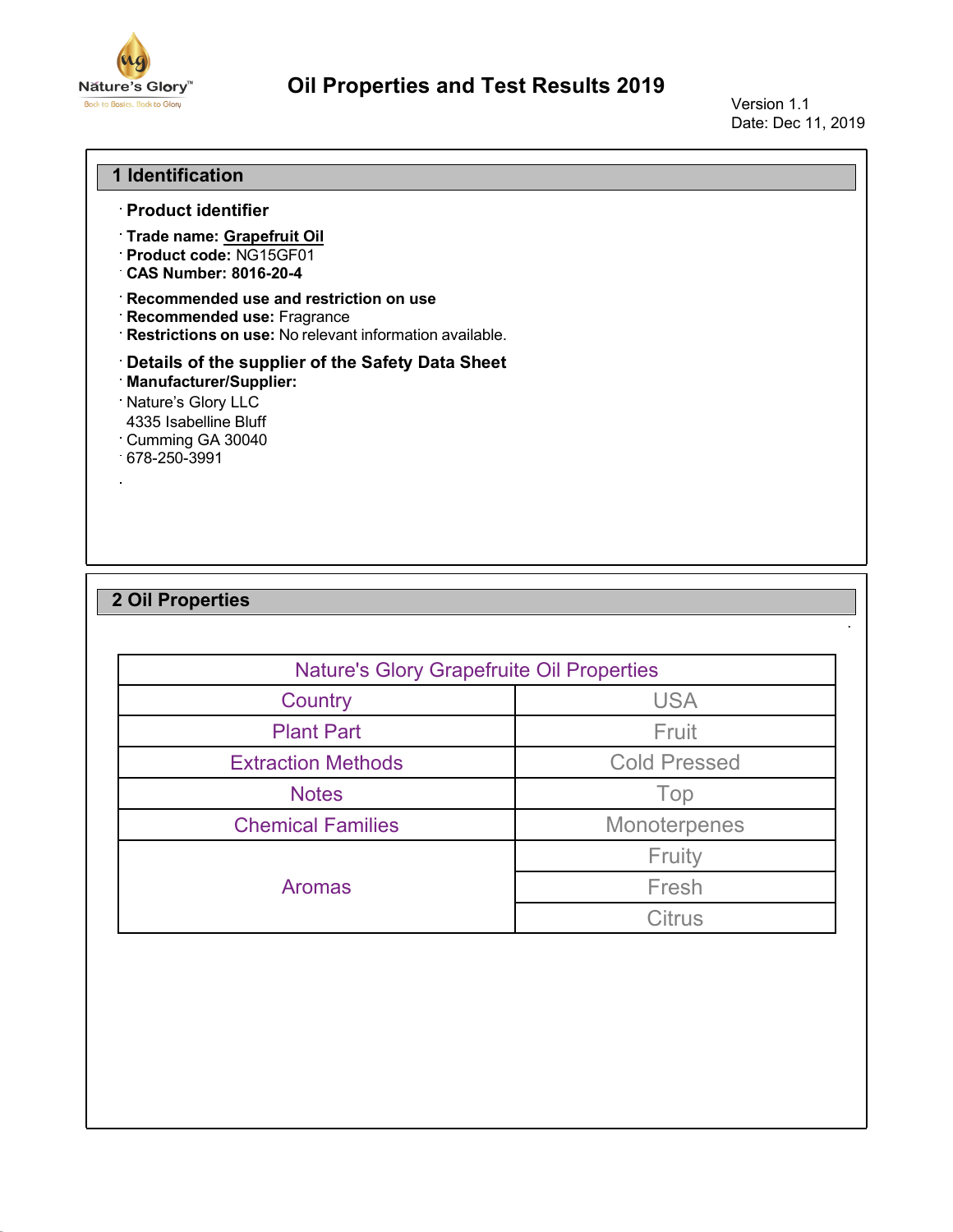

## **Oil Properties and Test Results 2019**

Version 1.1 Date: Dec 11, 2019

·

## **1 Identification**

- **Product identifier**
- **Trade name: Grapefruit Oil**
- **Product code:** NG15GF01
- **CAS Number: 8016-20-4**
- **Recommended use and restriction on use**
- **Recommended use:** Fragrance
- **Restrictions on use:** No relevant information available.
- **Details of the supplier of the Safety Data Sheet**
- **Manufacturer/Supplier:**
- Nature's Glory LLC
- 4335 Isabelline Bluff
- Cumming GA 30040
- 678-250-3991

## **2 Oil Properties**

| <b>Nature's Glory Grapefruite Oil Properties</b> |                     |
|--------------------------------------------------|---------------------|
| Country                                          | <b>USA</b>          |
| <b>Plant Part</b>                                | Fruit               |
| <b>Extraction Methods</b>                        | <b>Cold Pressed</b> |
| <b>Notes</b>                                     | Top                 |
| <b>Chemical Families</b>                         | Monoterpenes        |
|                                                  | Fruity              |
| <b>Aromas</b>                                    | Fresh               |
|                                                  | <b>Citrus</b>       |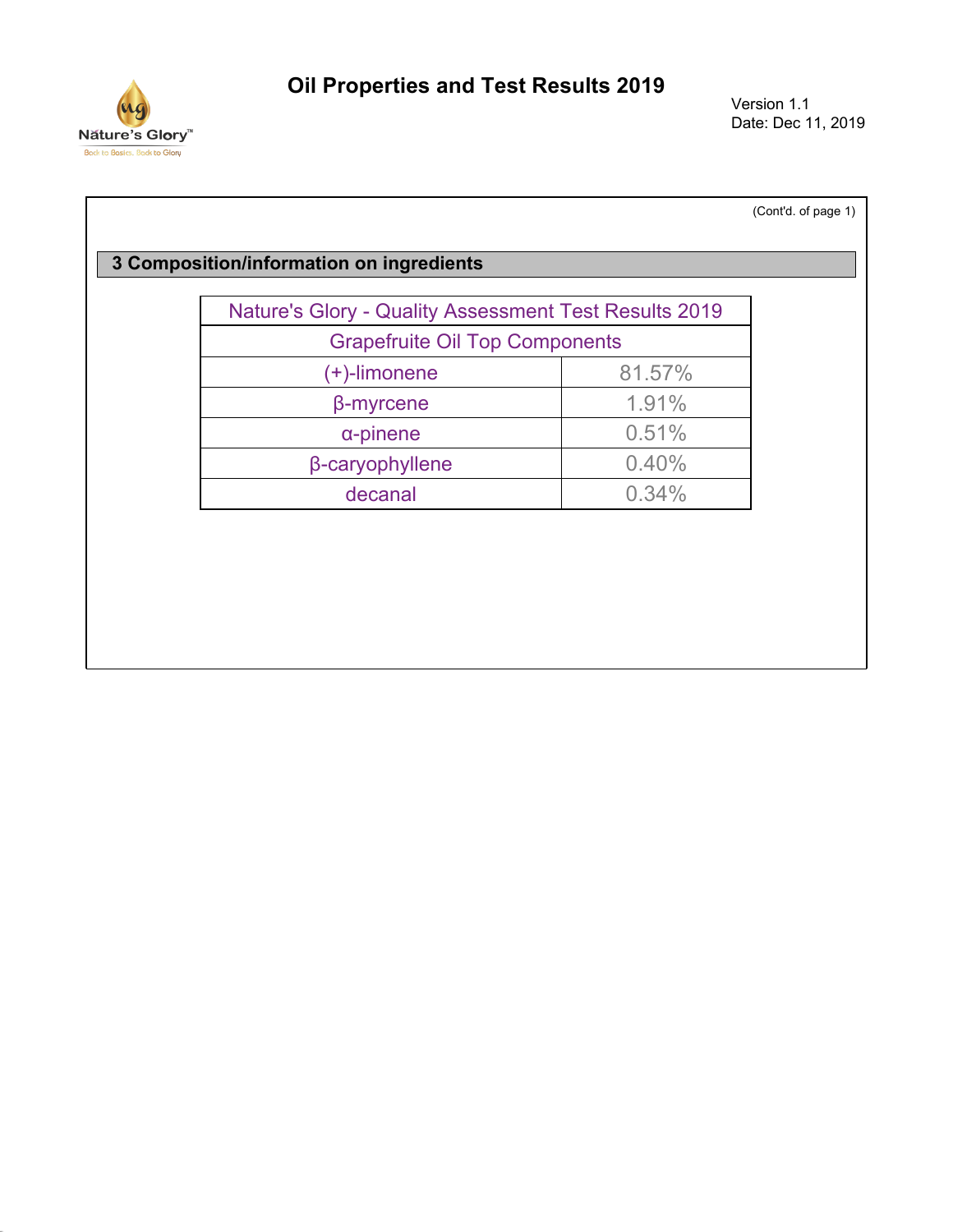

Version 1.1 Date: Dec 11, 2019

| <b>Nature's Glory - Quality Assessment Test Results 2019</b> |        |  |
|--------------------------------------------------------------|--------|--|
| <b>Grapefruite Oil Top Components</b>                        |        |  |
| (+)-limonene                                                 | 81.57% |  |
| $\beta$ -myrcene                                             | 1.91%  |  |
| $\alpha$ -pinene                                             | 0.51%  |  |
| β-caryophyllene                                              | 0.40%  |  |
| decanal                                                      | 0.34%  |  |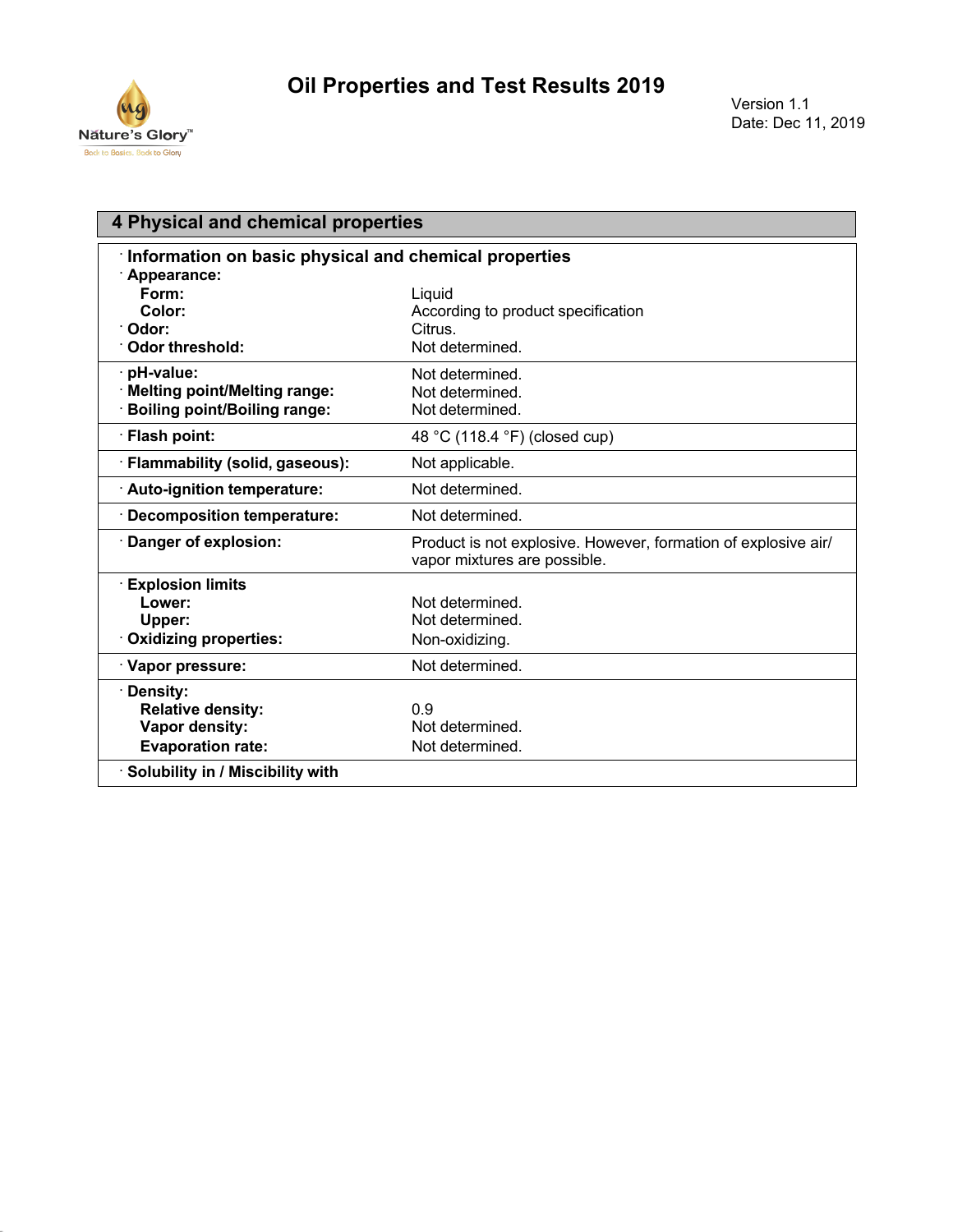

| 4 Physical and chemical properties                    |                                                                                                |
|-------------------------------------------------------|------------------------------------------------------------------------------------------------|
| Information on basic physical and chemical properties |                                                                                                |
| Appearance:                                           |                                                                                                |
| Form:                                                 | Liquid                                                                                         |
| Color:                                                | According to product specification                                                             |
| ∵Odor:                                                | Citrus.                                                                                        |
| Odor threshold:                                       | Not determined.                                                                                |
| · pH-value:                                           | Not determined.                                                                                |
| <b>Melting point/Melting range:</b>                   | Not determined.                                                                                |
| <b>Boiling point/Boiling range:</b>                   | Not determined.                                                                                |
| · Flash point:                                        | 48 °C (118.4 °F) (closed cup)                                                                  |
| · Flammability (solid, gaseous):                      | Not applicable.                                                                                |
| Auto-ignition temperature:                            | Not determined.                                                                                |
| $\cdot$ Decomposition temperature:                    | Not determined.                                                                                |
| Danger of explosion:                                  | Product is not explosive. However, formation of explosive air/<br>vapor mixtures are possible. |
| <b>Explosion limits</b>                               |                                                                                                |
| Lower:                                                | Not determined.                                                                                |
| Upper:                                                | Not determined.                                                                                |
| Oxidizing properties:                                 | Non-oxidizing.                                                                                 |
| Vapor pressure:                                       | Not determined.                                                                                |
| · Density:                                            |                                                                                                |
| <b>Relative density:</b>                              | 0.9                                                                                            |
| Vapor density:                                        | Not determined.                                                                                |
| <b>Evaporation rate:</b>                              | Not determined.                                                                                |
| Solubility in / Miscibility with                      |                                                                                                |